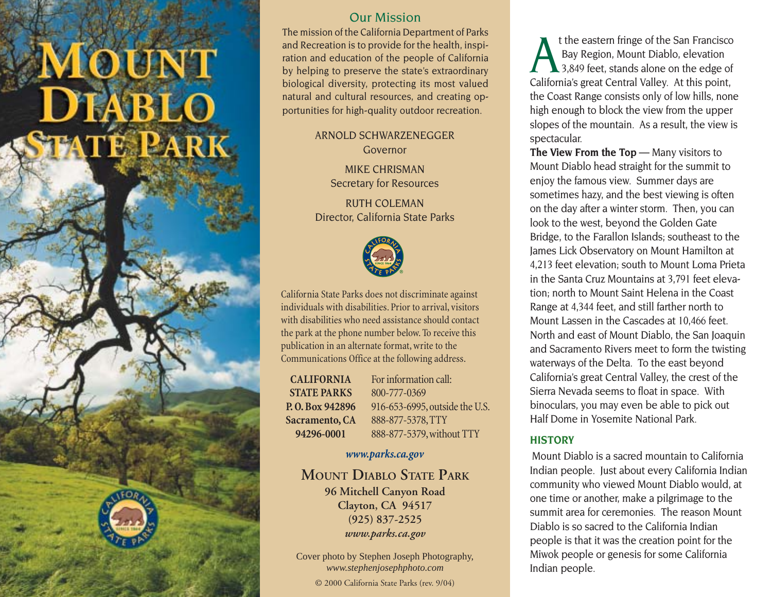# **LOUNT DIABLO** 'E PARK

# Our Mission

The mission of the California Department of Parks and Recreation is to provide for the health, inspiration and education of the people of California by helping to preserve the state's extraordinary biological diversity, protecting its most valued natural and cultural resources, and creating opportunities for high-quality outdoor recreation.

> ARNOLD SCHWARZENEGGER Governor

> > MIKE CHRISMAN Secretary for Resources

RUTH COLEMAN Director, California State Parks



California State Parks does not discriminate against individuals with disabilities. Prior to arrival, visitors with disabilities who need assistance should contact the park at the phone number below. To receive this publication in an alternate format, write to the Communications Office at the following address.

**CALIFORNIA STATE PARKS P. O. Box 942896 Sacramento, CA 94296-0001**

For information call: 800-777-0369 916-653-6995, outside the U.S. 888-877-5378, TTY 888-877-5379, without TTY

#### *www.parks.ca.gov*

**MOUNT DIABLO STATE PARK 96 Mitchell Canyon Road Clayton, CA 94517 (925) 837-2525** *www.parks.ca.gov*

Cover photo by Stephen Joseph Photography, *www.stephenjosephphoto.com*

© 2000 California State Parks (rev. 9/04)

t the eastern fringe of the San Francisco<br>Bay Region, Mount Diablo, elevation<br>3,849 feet, stands alone on the edge of California's great Central Valley. At this point, the Coast Range consists only of low hills, none high enough to block the view from the upper slopes of the mountain. As a result, the view is spectacular.

**The View From the Top** — Many visitors to Mount Diablo head straight for the summit to enjoy the famous view. Summer days are sometimes hazy, and the best viewing is often on the day after a winter storm. Then, you can look to the west, beyond the Golden Gate Bridge, to the Farallon Islands; southeast to the James Lick Observatory on Mount Hamilton at 4,213 feet elevation; south to Mount Loma Prieta in the Santa Cruz Mountains at 3,791 feet elevation; north to Mount Saint Helena in the Coast Range at 4,344 feet, and still farther north to Mount Lassen in the Cascades at 10,466 feet. North and east of Mount Diablo, the San Joaquin and Sacramento Rivers meet to form the twisting waterways of the Delta. To the east beyond California's great Central Valley, the crest of the Sierra Nevada seems to float in space. With binoculars, you may even be able to pick out Half Dome in Yosemite National Park.

## **HISTORY**

Mount Diablo is a sacred mountain to California Indian people. Just about every California Indian community who viewed Mount Diablo would, at one time or another, make a pilgrimage to the summit area for ceremonies. The reason Mount Diablo is so sacred to the California Indian people is that it was the creation point for the Miwok people or genesis for some California Indian people.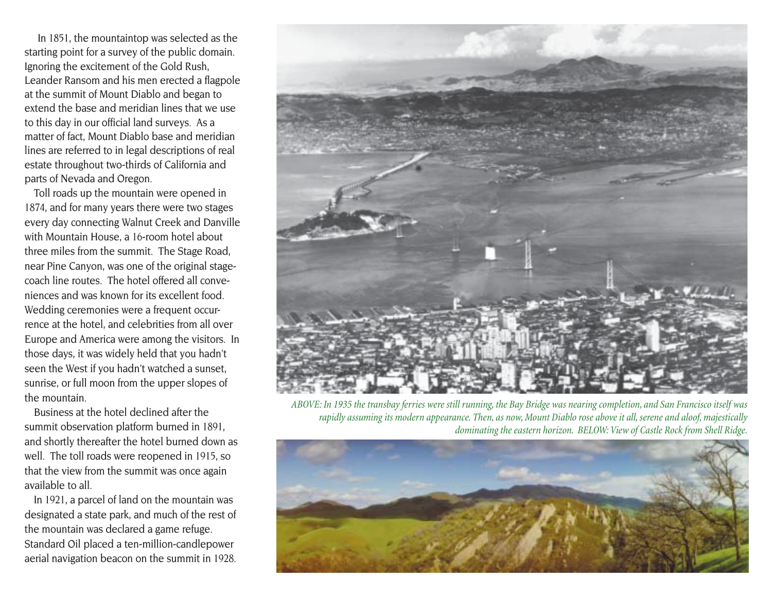In 1851, the mountaintop was selected as the starting point for a survey of the public domain. Ignoring the excitement of the Gold Rush, Leander Ransom and his men erected a flagpole at the summit of Mount Diablo and began to extend the base and meridian lines that we use to this day in our official land surveys. As a matter of fact, Mount Diablo base and meridian lines are referred to in legal descriptions of real estate throughout two-thirds of California and parts of Nevada and Oregon.

Toll roads up the mountain were opened in 1874, and for many years there were two stages every day connecting Walnut Creek and Danville with Mountain House, a 16-room hotel about three miles from the summit. The Stage Road, near Pine Canyon, was one of the original stagecoach line routes. The hotel offered all conveniences and was known for its excellent food. Wedding ceremonies were a frequent occurrence at the hotel, and celebrities from all over Europe and America were among the visitors. In those days, it was widely held that you hadn't seen the West if you hadn't watched a sunset, sunrise, or full moon from the upper slopes of the mountain.

Business at the hotel declined after the summit observation platform burned in 1891, and shortly thereafter the hotel burned down as well. The toll roads were reopened in 1915, so that the view from the summit was once again available to all.

In 1921, a parcel of land on the mountain was designated a state park, and much of the rest of the mountain was declared a game refuge. Standard Oil placed a ten-million-candlepower aerial navigation beacon on the summit in 1928.



*ABOVE: In 1935 the transbay ferries were still running, the Bay Bridge was nearing completion, and San Francisco itself was rapidly assuming its modern appearance. Then, as now, Mount Diablo rose above it all, serene and aloof, majestically dominating the eastern horizon. BELOW: View of Castle Rock from Shell Ridge.*

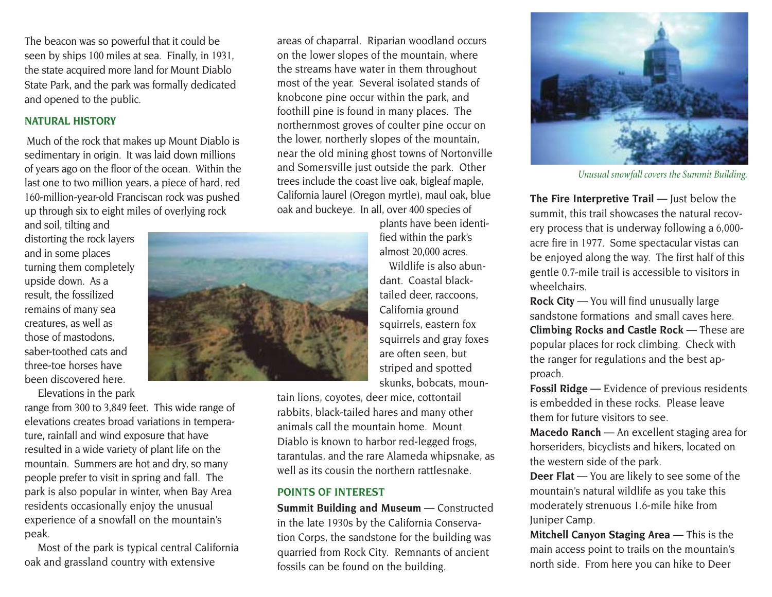The beacon was so powerful that it could be seen by ships 100 miles at sea. Finally, in 1931, the state acquired more land for Mount Diablo State Park, and the park was formally dedicated and opened to the public.

### **NATURAL HISTORY**

Much of the rock that makes up Mount Diablo is sedimentary in origin. It was laid down millions of years ago on the floor of the ocean. Within the last one to two million years, a piece of hard, red 160-million-year-old Franciscan rock was pushed up through six to eight miles of overlying rock

and soil, tilting and distorting the rock layers and in some places turning them completely upside down. As a result, the fossilized remains of many sea creatures, as well as those of mastodons, saber-toothed cats and three-toe horses have been discovered here.

Elevations in the park

range from 300 to 3,849 feet. This wide range of elevations creates broad variations in temperature, rainfall and wind exposure that have resulted in a wide variety of plant life on the mountain. Summers are hot and dry, so many people prefer to visit in spring and fall. The park is also popular in winter, when Bay Area residents occasionally enjoy the unusual experience of a snowfall on the mountain's peak.

Most of the park is typical central California oak and grassland country with extensive

areas of chaparral. Riparian woodland occurs on the lower slopes of the mountain, where the streams have water in them throughout most of the year. Several isolated stands of knobcone pine occur within the park, and foothill pine is found in many places. The northernmost groves of coulter pine occur on the lower, northerly slopes of the mountain, near the old mining ghost towns of Nortonville and Somersville just outside the park. Other trees include the coast live oak, bigleaf maple, California laurel (Oregon myrtle), maul oak, blue oak and buckeye. In all, over 400 species of

> plants have been identified within the park's almost 20,000 acres.

Wildlife is also abundant. Coastal blacktailed deer, raccoons, California ground squirrels, eastern fox squirrels and gray foxes are often seen, but striped and spotted skunks, bobcats, moun-

tain lions, coyotes, deer mice, cottontail rabbits, black-tailed hares and many other animals call the mountain home. Mount Diablo is known to harbor red-legged frogs, tarantulas, and the rare Alameda whipsnake, as well as its cousin the northern rattlesnake.

#### **POINTS OF INTEREST**

**Summit Building and Museum** — Constructed in the late 1930s by the California Conservation Corps, the sandstone for the building was quarried from Rock City. Remnants of ancient fossils can be found on the building.



*Unusual snowfall covers the Summit Building.*

**The Fire Interpretive Trail** — Just below the summit, this trail showcases the natural recovery process that is underway following a 6,000 acre fire in 1977. Some spectacular vistas can be enjoyed along the way. The first half of this gentle 0.7-mile trail is accessible to visitors in wheelchairs.

**Climbing Rocks and Castle Rock** — These are popular places for rock climbing. Check with the ranger for regulations and the best approach. **Rock City** — You will find unusually large sandstone formations and small caves here.

**Fossil Ridge** — Evidence of previous residents is embedded in these rocks. Please leave them for future visitors to see.

**Macedo Ranch** — An excellent staging area for horseriders, bicyclists and hikers, located on the western side of the park.

**Deer Flat** — You are likely to see some of the mountain's natural wildlife as you take this moderately strenuous 1.6-mile hike from Juniper Camp.

**Mitchell Canyon Staging Area** — This is the main access point to trails on the mountain's north side. From here you can hike to Deer

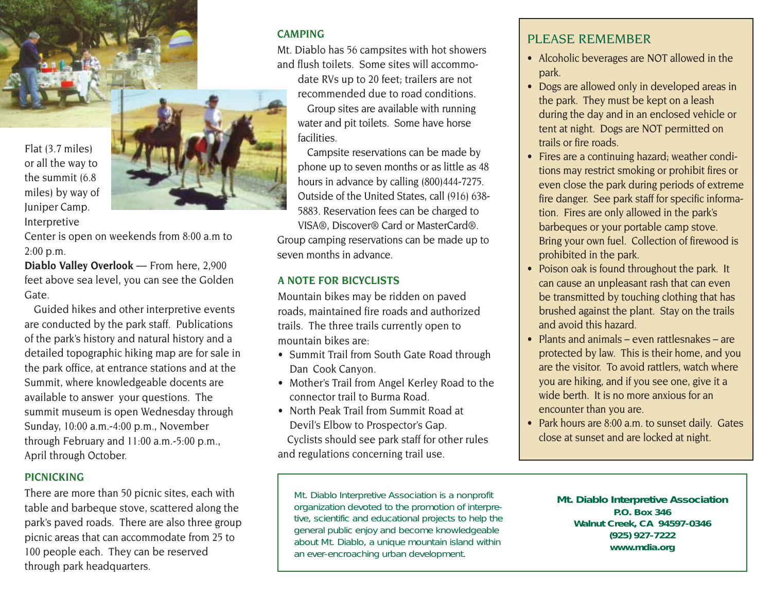Flat (3.7 miles) or all the way to the summit (6.8 miles) by way of Juniper Camp. Interpretive



Center is open on weekends from 8:00 a.m to 2:00 p.m.

**Diablo Valley Overlook** — From here, 2,900 feet above sea level, you can see the Golden Gate.

Guided hikes and other interpretive events are conducted by the park staff. Publications of the park's history and natural history and a detailed topographic hiking map are for sale in the park office, at entrance stations and at the Summit, where knowledgeable docents are available to answer your questions. The summit museum is open Wednesday through Sunday, 10:00 a.m.-4:00 p.m., November through February and 11:00 a.m.-5:00 p.m., April through October.

## **PICNICKING**

There are more than 50 picnic sites, each with table and barbeque stove, scattered along the park's paved roads. There are also three group picnic areas that can accommodate from 25 to 100 people each. They can be reserved through park headquarters.

# **CAMPING**

Mt. Diablo has 56 campsites with hot showers and flush toilets. Some sites will accommodate RVs up to 20 feet; trailers are not recommended due to road conditions. Group sites are available with running water and pit toilets. Some have horse facilities.

Campsite reservations can be made by phone up to seven months or as little as 48 hours in advance by calling (800)444-7275. Outside of the United States, call (916) 638- 5883. Reservation fees can be charged to VISA®, Discover® Card or MasterCard®. Group camping reservations can be made up to seven months in advance.

## **A NOTE FOR BICYCLISTS**

Mountain bikes may be ridden on paved roads, maintained fire roads and authorized trails. The three trails currently open to mountain bikes are:

- Summit Trail from South Gate Road through Dan Cook Canyon.
- Mother's Trail from Angel Kerley Road to the connector trail to Burma Road.
- North Peak Trail from Summit Road at Devil's Elbow to Prospector's Gap. Cyclists should see park staff for other rules and regulations concerning trail use.

Mt. Diablo Interpretive Association is a nonprofit organization devoted to the promotion of interpretive, scientific and educational projects to help the general public enjoy and become knowledgeable about Mt. Diablo, a unique mountain island within an ever-encroaching urban development.

# PLEASE REMEMBER

- Alcoholic beverages are NOT allowed in the park.
- Dogs are allowed only in developed areas in the park. They must be kept on a leash during the day and in an enclosed vehicle or tent at night. Dogs are NOT permitted on trails or fire roads.
- Fires are a continuing hazard; weather conditions may restrict smoking or prohibit fires or even close the park during periods of extreme fire danger. See park staff for specific information. Fires are only allowed in the park's barbeques or your portable camp stove. Bring your own fuel. Collection of firewood is prohibited in the park.
- Poison oak is found throughout the park. It can cause an unpleasant rash that can even be transmitted by touching clothing that has brushed against the plant. Stay on the trails and avoid this hazard.
- Plants and animals even rattlesnakes are protected by law. This is their home, and you are the visitor. To avoid rattlers, watch where you are hiking, and if you see one, give it a wide berth. It is no more anxious for an encounter than you are.
- Park hours are 8:00 a.m. to sunset daily. Gates close at sunset and are locked at night.

**Mt. Diablo Interpretive Association P.O. Box 346 Walnut Creek, CA 94597-0346 (925) 927-7222 www.mdia.org**